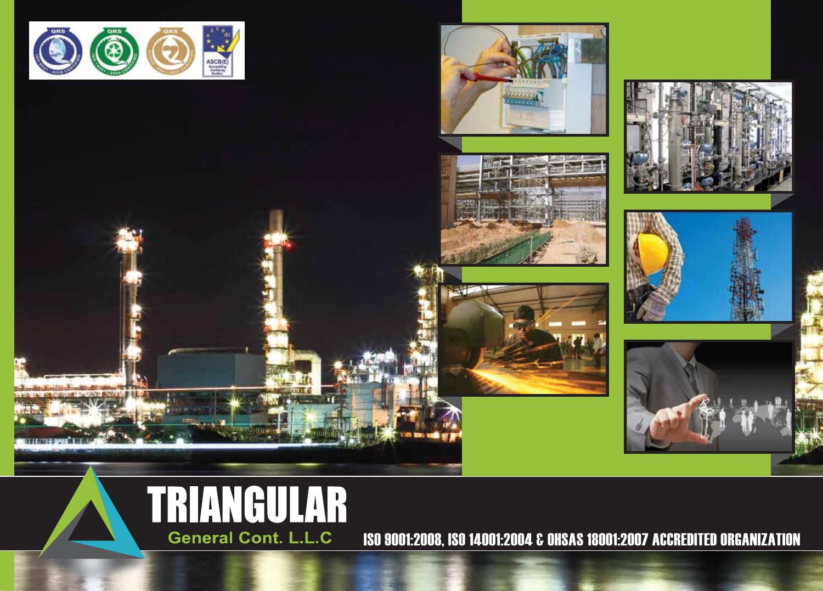





**SYLE** 









ISO 9001:2008, ISO 14001:2004 & OHSAS 18001:2007 ACCREDITED ORGANIZATION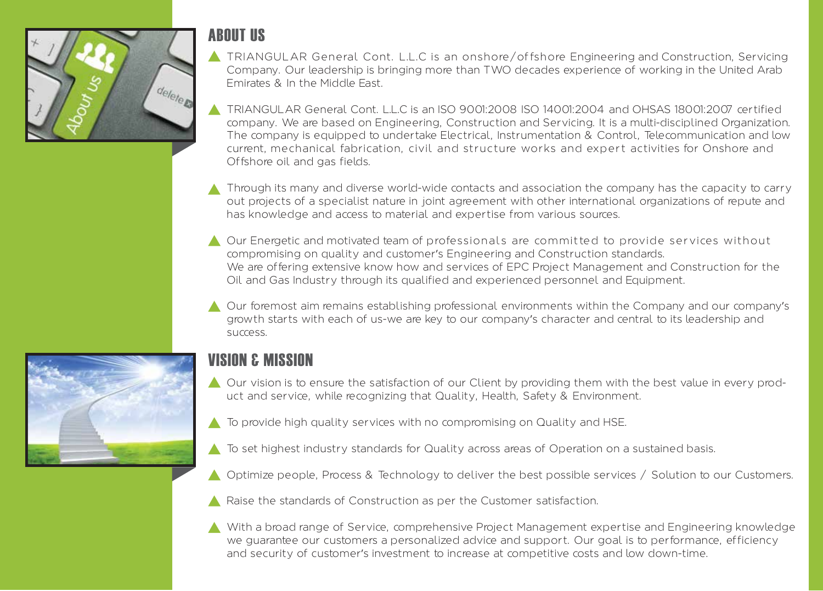

## **ABOUT US**

- TRIANGULAR General Cont. L.L.C is an onshore/offshore Engineering and Construction, Servicing Company. Our leadership is bringing more than TWO decades experience of working in the United Arab Emirates & In the Middle East.
- TRIANGULAR General Cont. L.L.C is an ISO 9001:2008 ISO 14001:2004 and OHSAS 18001:2007 certified company. We are based on Engineering, Construction and Servicing. It is a multi-disciplined Organization. The company is equipped to undertake Electrical, Instrumentation & Control, Telecommunication and low current, mechanical fabrication, civil and structure works and expert activities for Onshore and Offshore oil and gas fields.
- Through its many and diverse world-wide contacts and association the company has the capacity to carry out projects of a specialist nature in joint agreement with other international organizations of repute and has knowledge and access to material and expertise from various sources.
- Our Energetic and motivated team of professionals are committed to provide services without compromising on quality and customer's Engineering and Construction standards. We are offering extensive know how and services of EPC Project Management and Construction for the Oil and Gas Industry through its qualified and experienced personnel and Equipment.
- Our foremost aim remains establishing professional environments within the Company and our company's growth starts with each of us-we are key to our company's character and central to its leadership and success.



## **VISION & MISSION**

- ▲ Our vision is to ensure the satisfaction of our Client by providing them with the best value in every product and service, while recognizing that Quality, Health, Safety & Environment.
- ▲ To provide high quality services with no compromising on Quality and HSE.
- A To set highest industry standards for Quality across areas of Operation on a sustained basis.
- Optimize people, Process & Technology to deliver the best possible services / Solution to our Customers.
- A Raise the standards of Construction as per the Customer satisfaction.
- With a broad range of Service, comprehensive Project Management expertise and Engineering knowledge we guarantee our customers a personalized advice and support. Our goal is to performance, efficiency and security of customer's investment to increase at competitive costs and low down-time.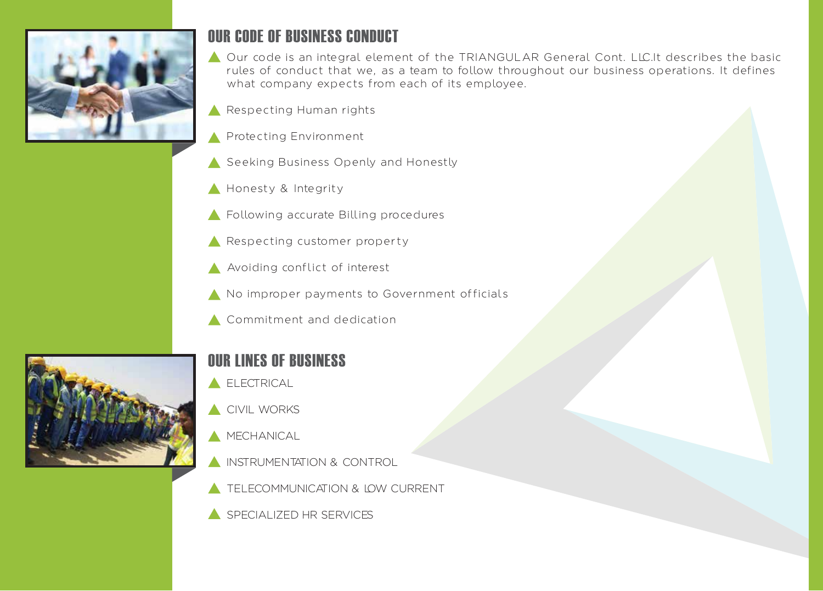

### OUR CODE OF BUSINESS CONDUCT

Our code is an integral element of the TRIANGULAR General Cont. LLC.It describes the basic rules of conduct that we, as a team to follow throughout our business operations. It defines what company expects from each of its employee.

- Respecting Human rights
- **A** Protecting Environment
- Seeking Business Openly and Honestly
- Honesty & Integrity
- Following accurate Billing procedures
- Respecting customer property
- Avoiding conflict of interest
- No improper payments to Government officials
- Commitment and dedication



# OUR LINES OF BUSINESS

- **A** ELECTRICAL
- **CIVIL WORKS**
- $MECHANICAL$
- **INSTRUMENTATION & CONTROL**
- **TELECOMMUNICATION & LOW CURRENT**
- SPECIALIZED HR SERVICES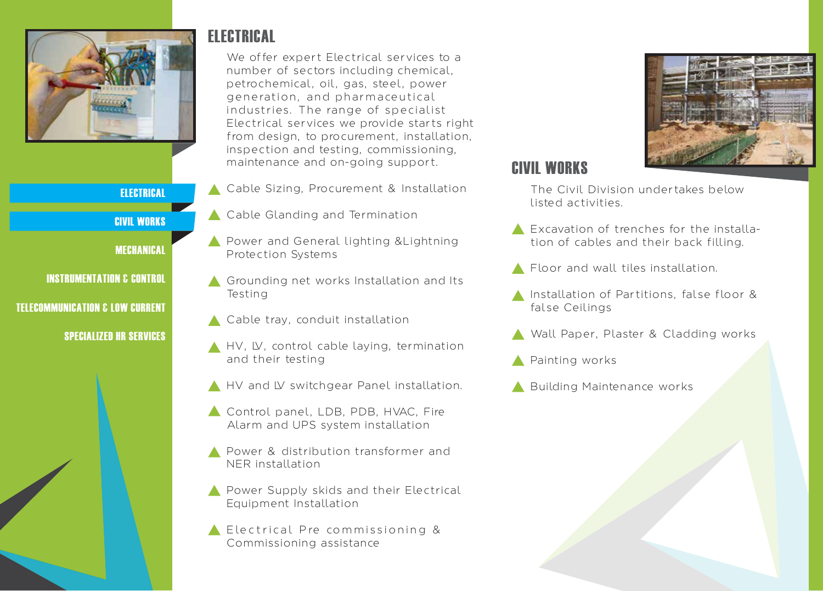

#### **ELECTRICAL**

CIVIL WORKS

**MECHANICAL** 

INSTRUMENTATION & CONTROL TELECOMMUNICATION & LOW CURRENT

SPECIALIZED HR SERVICES



ELECTRICAL

Cable Sizing, Procurement & Installation

maintenance and on-going support.

We offer expert Electrical services to a number of sectors including chemical, petrochemical, oil, gas, steel, power generation, and pharmaceutical

- ▲ Cable Glanding and Termination
- **A** Power and General lighting & Lightning Protection Systems
- Grounding net works Installation and Its Testing
- ▲ Cable tray, conduit installation
- A HV, LV, control cable laying, termination and their testing
- A HV and LV switchgear Panel installation.
- Control panel, LDB, PDB, HVAC, Fire Alarm and UPS system installation
- **A** Power & distribution transformer and NER installation
- **A** Power Supply skids and their Electrical Equipment Installation
- Electrical Pre commissioning  $\&$ Commissioning assistance



### CIVIL WORKS

The Civil Division undertakes below listed activities.

- Excavation of trenches for the installation of cables and their back filling.
- Floor and wall tiles installation.
- Installation of Partitions, false floor & false Ceilings
- Wall Paper, Plaster & Cladding works
- Painting works
- Building Maintenance works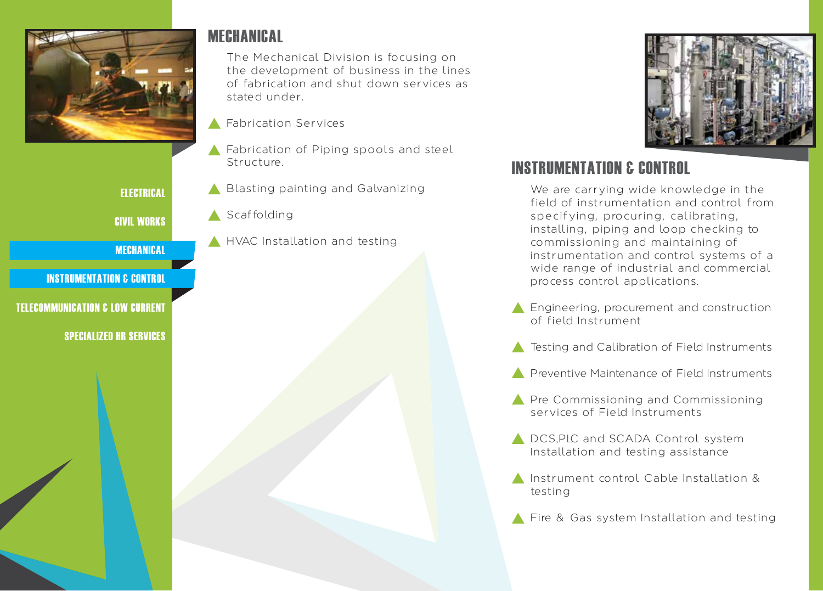

**ELECTRICAL** CIVIL WORKS MECHANICAL INSTRUMENTATION & CONTROL

TELECOMMUNICATION & LOW CURRENT

SPECIALIZED HR SERVICES

## MECHANICAL

The Mechanical Division is focusing on the development of business in the lines of fabrication and shut down services as stated under.

- **A** Fabrication Services
- **A** Fabrication of Piping spools and steel Structure.
- **A** Blasting painting and Galvanizing
- Scaffolding
- **A** HVAC Installation and testing



## INSTRUMENTATION & CONTROL

We are carrying wide knowledge in the field of instrumentation and control from specifying, procuring, calibrating, installing, piping and loop checking to commissioning and maintaining of instrumentation and control systems of a wide range of industrial and commercial process control applications.

- Engineering, procurement and construction of field Instrument
- **A** Testing and Calibration of Field Instruments
- **A** Preventive Maintenance of Field Instruments
- **A** Pre Commissioning and Commissioning services of Field Instruments
- DCS, PLC and SCADA Control system Installation and testing assistance
- Instrument control Cable Installation & testing
- Fire & Gas system Installation and testing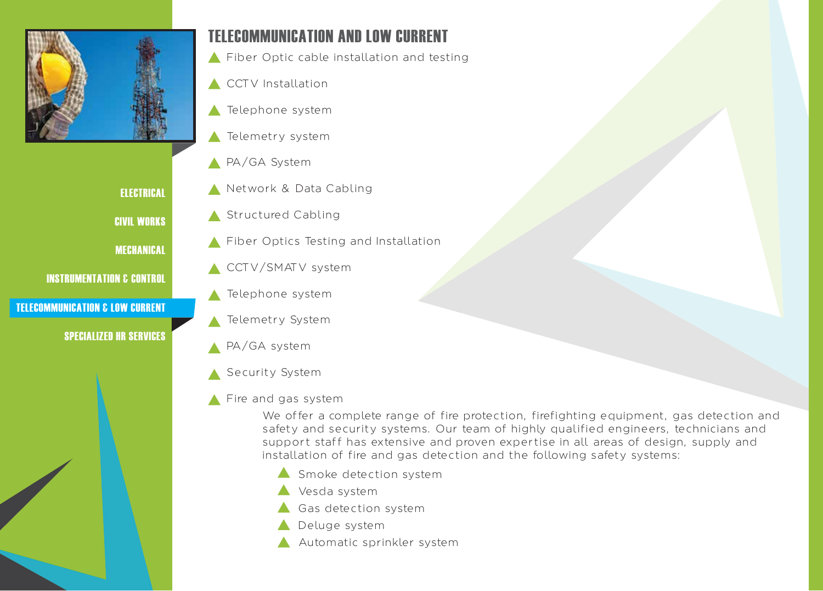

**ELECTRICAL** 

CIVIL WORKS

MECHANICAL

INSTRUMENTATION & CONTROL

#### TELECOMMUNICATION & LOW CURRENT

#### SPECIALIZED HR SERVICES

## TELECOMMUNICATION AND LOW CURRENT

Fiber Optic cable installation and testing

- **A** CCTV Installation
- Telephone system
- Telemetry system
- PA/GA System
- Network & Data Cabling
- Structured Cabling
- Fiber Optics Testing and Installation
- **CCTV/SMATV** system
- Telephone system
- **Telemetry System**
- PA/GA system
- Security System

### Fire and gas system

We offer a complete range of fire protection, firefighting equipment, gas detection and safety and security systems. Our team of highly qualified engineers, technicians and support staff has extensive and proven expertise in all areas of design, supply and installation of fire and gas detection and the following safety systems:

- $\triangle$  Smoke detection system
- Vesda system
- Gas detection system
- Deluge system
- Automatic sprinkler system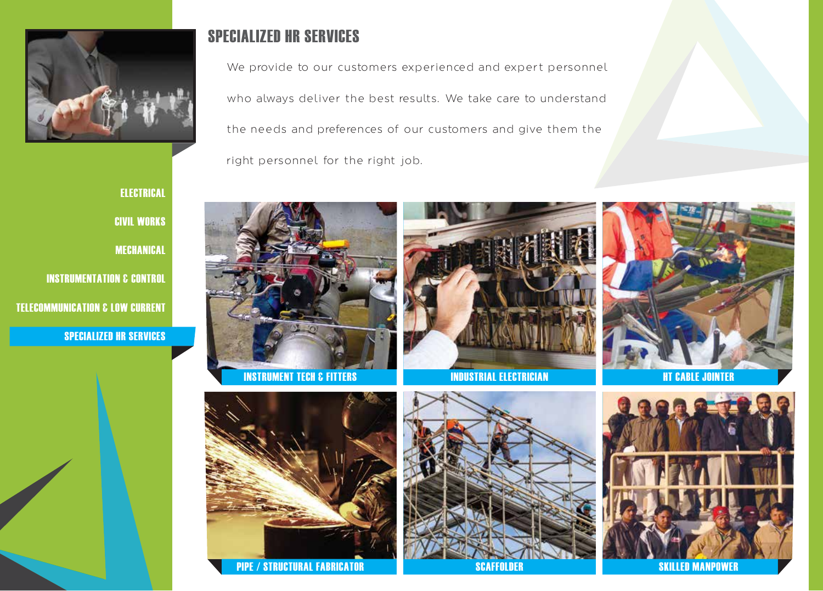

## SPECIALIZED HR SERVICES

We provide to our customers experienced and expert personnel who always deliver the best results. We take care to understand the needs and preferences of our customers and give them the right personnel for the right job.

ELECTRICAL **CIVIL WORKS** MECHANICAL INSTRUMENTATION & CONTROL TELECOMMUNICATION & LOW CURRENT

SPECIALIZED HR SERVICES







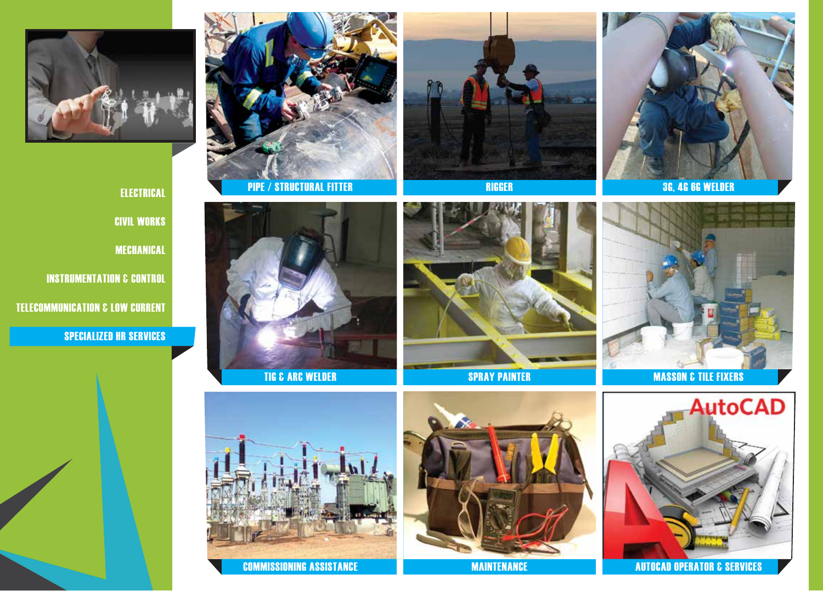

ELECTRICAL CIVIL WORKS MECHANICAL INSTRUMENTATION & CONTROL TELECOMMUNICATION & LOW CURRENT SPECIALIZED HR SERVICES

















**COMMISSIONING ASSISTANCE AUTOCAD DESIGNATION** COMMISSIONING ASSISTANCE **MAINTENANCE**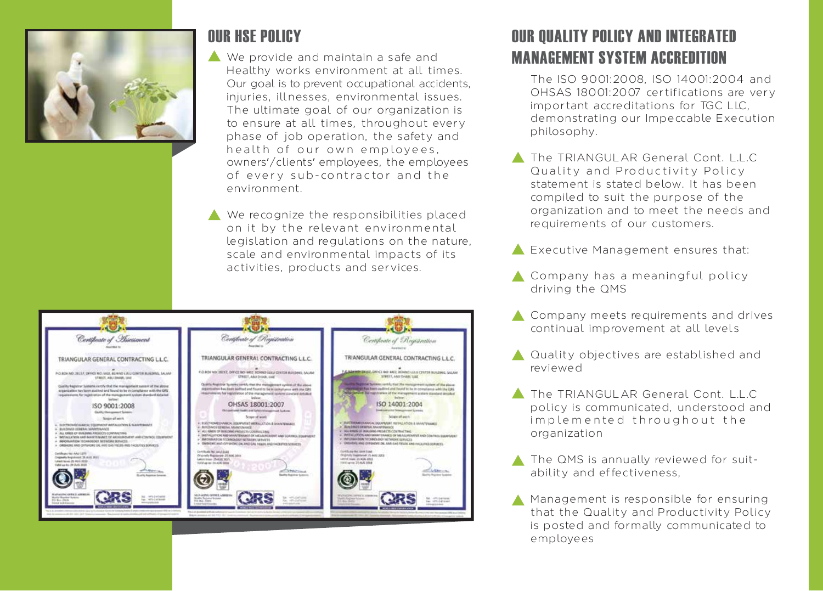

## OUR HSE POLICY

- We provide and maintain a safe and Healthy works environment at all times. Our goal is to prevent occupational accidents, injuries, illnesses, environmental issues. The ultimate goal of our organization is to ensure at all times, throughout every phase of job operation, the safety and health of our own employees, owners'/clients' employees, the employees of every sub-contractor and the environment.
- We recognize the responsibilities placed on it by the relevant environmental legislation and regulations on the nature, scale and environmental impacts of its activities, products and services.



# OUR QUALITY POLICY AND INTEGRATED MANAGEMENT SYSTEM ACCREDITION

- The ISO 9001:2008, ISO 14001:2004 and OHSAS 18001:2007 certifications are very important accreditations for TGC LLC, demonstrating our Impeccable Execution philosophy.
- The TRIANGULAR General Cont. L.L.C. Quality and Productivity Policy statement is stated below. It has been compiled to suit the purpose of the organization and to meet the needs and requirements of our customers.
- Executive Management ensures that:
- Company has a meaningful policy driving the QMS
- Company meets requirements and drives continual improvement at all levels
- Quality objectives are established and reviewed
- The TRIANGULAR General Cont. L.L.C policy is communicated, understood and implemented throughout the organization
- The QMS is annually reviewed for suitability and effectiveness,
- Management is responsible for ensuring that the Quality and Productivity Policy is posted and formally communicated to employees